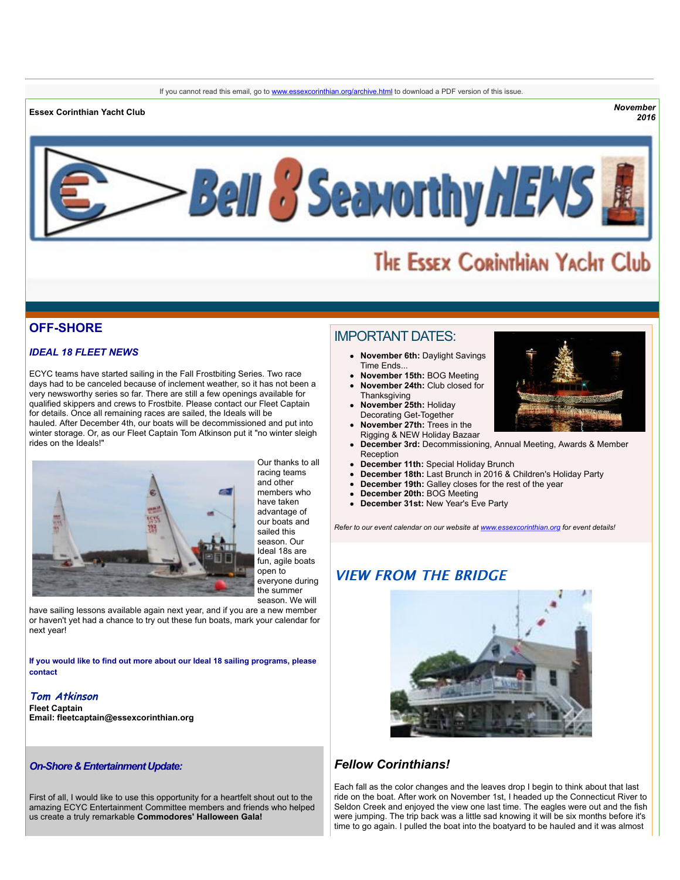**Essex Corinthian Yacht Club** *November*

*2016*



# THE ESSEX CORINTHIAN YACHT Club

# **OFF-SHORE**

# *IDEAL 18 FLEET NEWS*

ECYC teams have started sailing in the Fall Frostbiting Series. Two race days had to be canceled because of inclement weather, so it has not been a very newsworthy series so far. There are still a few openings available for qualified skippers and crews to Frostbite. Please contact our Fleet Captain for details. Once all remaining races are sailed, the Ideals will be hauled. After December 4th, our boats will be decommissioned and put into winter storage. Or, as our Fleet Captain Tom Atkinson put it "no winter sleigh rides on the Ideals!"



Our thanks to all racing teams and other members who have taken advantage of our boats and sailed this season. Our Ideal 18s are fun, agile boats open to everyone during the summer season. We will

have sailing lessons available again next year, and if you are a new member or haven't yet had a chance to try out these fun boats, mark your calendar for next year!

**If you would like to find out more about our Ideal 18 sailing programs, please contact**

### **Tom Atkinson Fleet Captain Email: [fleetcaptain@essexcorinthian.org](mailto:fleetcaptain@essexcorinthian.org)**

### *On-Shore & Entertainment Update:*

First of all, I would like to use this opportunity for a heartfelt shout out to the amazing ECYC Entertainment Committee members and friends who helped us create a truly remarkable **Commodores' Halloween Gala!**

# IMPORTANT DATES:

- **November 6th:** Daylight Savings Time Ends...
- **November 15th:** BOG Meeting **November 24th:** Club closed for
- **Thanksgiving November 25th:** Holiday
- Decorating Get-Together **November 27th:** Trees in the
- Rigging & NEW Holiday Bazaar
- **December 3rd:** Decommissioning, Annual Meeting, Awards & Member **Reception**
- **December 11th:** Special Holiday Brunch
- **December 18th:** Last Brunch in 2016 & Children's Holiday Party
- **December 19th:** Galley closes for the rest of the year
- **December 20th:** BOG Meeting
- **December 31st:** New Year's Eve Party

*Refer to our event calendar on our website at [www.essexcorinthian.org](http://r20.rs6.net/tn.jsp?t=ks8vy5yab.0.0.sxskahdab.0&id=preview&r=3&p=http%3A%2F%2Fwww.essexcorinthian.org) for event details!*

# **VIEW FROM THE BRIDGE**



# *Fellow Corinthians!*

Each fall as the color changes and the leaves drop I begin to think about that last ride on the boat. After work on November 1st, I headed up the Connecticut River to Seldon Creek and enjoyed the view one last time. The eagles were out and the fish were jumping. The trip back was a little sad knowing it will be six months before it's time to go again. I pulled the boat into the boatyard to be hauled and it was almost

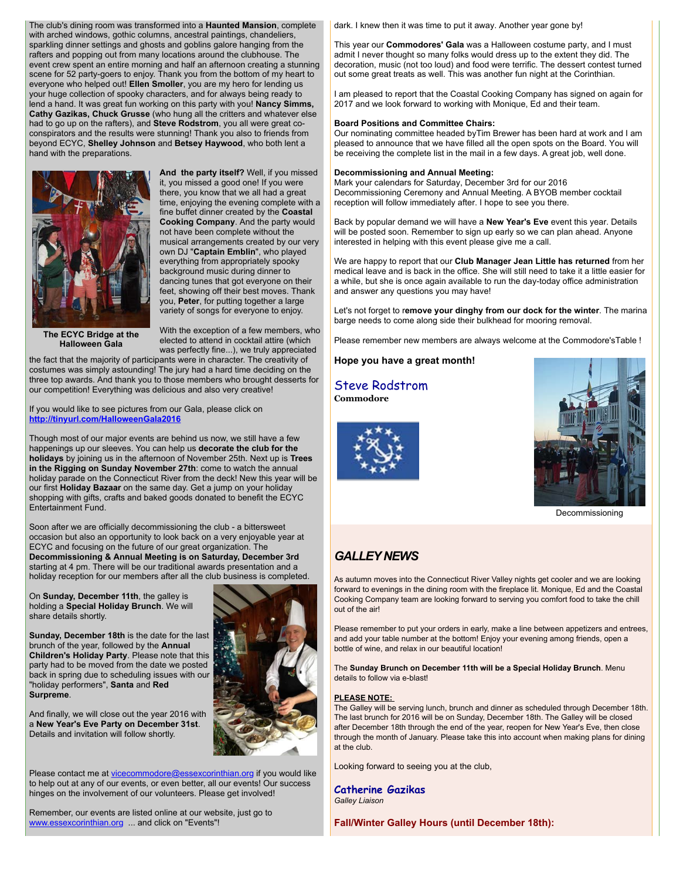The club's dining room was transformed into a **Haunted Mansion**, complete with arched windows, gothic columns, ancestral paintings, chandeliers, sparkling dinner settings and ghosts and goblins galore hanging from the rafters and popping out from many locations around the clubhouse. The event crew spent an entire morning and half an afternoon creating a stunning scene for 52 party-goers to enjoy. Thank you from the bottom of my heart to everyone who helped out! **Ellen Smoller**, you are my hero for lending us your huge collection of spooky characters, and for always being ready to lend a hand. It was great fun working on this party with you! **Nancy Simms, Cathy Gazikas, Chuck Grusse** (who hung all the critters and whatever else had to go up on the rafters), and **Steve Rodstrom**, you all were great coconspirators and the results were stunning! Thank you also to friends from beyond ECYC, **Shelley Johnson** and **Betsey Haywood**, who both lent a hand with the preparations.



**And the party itself?** Well, if you missed it, you missed a good one! If you were there, you know that we all had a great time, enjoying the evening complete with a fine buffet dinner created by the **Coastal Cooking Company**. And the party would not have been complete without the musical arrangements created by our very own DJ "**Captain Emblin**", who played everything from appropriately spooky background music during dinner to dancing tunes that got everyone on their feet, showing off their best moves. Thank you, **Peter**, for putting together a large variety of songs for everyone to enjoy.

**The ECYC Bridge at the Halloween Gala**

With the exception of a few members, who elected to attend in cocktail attire (which was perfectly fine...), we truly appreciated

the fact that the majority of participants were in character. The creativity of costumes was simply astounding! The jury had a hard time deciding on the three top awards. And thank you to those members who brought desserts for our competition! Everything was delicious and also very creative!

#### If you would like to see pictures from our Gala, please click on **[http://tinyurl.com/HalloweenGala2016](http://r20.rs6.net/tn.jsp?t=ks8vy5yab.0.0.sxskahdab.0&id=preview&r=3&p=http%3A%2F%2Ftinyurl.com%2FHalloweenGala2016)**

Though most of our major events are behind us now, we still have a few happenings up our sleeves. You can help us **decorate the club for the holidays** by joining us in the afternoon of November 25th. Next up is **Trees in the Rigging on Sunday November 27th**: come to watch the annual holiday parade on the Connecticut River from the deck! New this year will be our first **Holiday Bazaar** on the same day. Get a jump on your holiday shopping with gifts, crafts and baked goods donated to benefit the ECYC Entertainment Fund.

Soon after we are officially decommissioning the club - a bittersweet occasion but also an opportunity to look back on a very enjoyable year at ECYC and focusing on the future of our great organization. The **Decommissioning & Annual Meeting is on Saturday, December 3rd** starting at 4 pm. There will be our traditional awards presentation and a holiday reception for our members after all the club business is completed.

On **Sunday, December 11th**, the galley is holding a **Special Holiday Brunch**. We will share details shortly.

**Sunday, December 18th** is the date for the last brunch of the year, followed by the **Annual Children's Holiday Party**. Please note that this party had to be moved from the date we posted back in spring due to scheduling issues with our "holiday performers", **Santa** and **Red Surpreme**.

And finally, we will close out the year 2016 with a **New Year's Eve Party on December 31st**. Details and invitation will follow shortly.

Please contact me at [vicecommodore@essexcorinthian.org](mailto:vicecommodore@essexcorinthian.org) if you would like to help out at any of our events, or even better, all our events! Our success hinges on the involvement of our volunteers. Please get involved!

Remember, our events are listed online at our website, just go to [www.essexcorinthian.org](http://r20.rs6.net/tn.jsp?t=ks8vy5yab.0.0.sxskahdab.0&id=preview&r=3&p=http%3A%2F%2Fwww.essexcorinthian.org) ... and click on "Events"!

dark. I knew then it was time to put it away. Another year gone by!

This year our **Commodores' Gala** was a Halloween costume party, and I must admit I never thought so many folks would dress up to the extent they did. The decoration, music (not too loud) and food were terrific. The dessert contest turned out some great treats as well. This was another fun night at the Corinthian.

I am pleased to report that the Coastal Cooking Company has signed on again for 2017 and we look forward to working with Monique, Ed and their team.

### **Board Positions and Committee Chairs:**

Our nominating committee headed byTim Brewer has been hard at work and I am pleased to announce that we have filled all the open spots on the Board. You will be receiving the complete list in the mail in a few days. A great job, well done.

#### **Decommissioning and Annual Meeting:**

Mark your calendars for Saturday, December 3rd for our 2016 Decommissioning Ceremony and Annual Meeting. A BYOB member cocktail reception will follow immediately after. I hope to see you there.

Back by popular demand we will have a **New Year's Eve** event this year. Details will be posted soon. Remember to sign up early so we can plan ahead. Anyone interested in helping with this event please give me a call.

We are happy to report that our **Club Manager Jean Little has returned** from her medical leave and is back in the office. She will still need to take it a little easier for a while, but she is once again available to run the day-today office administration and answer any questions you may have!

Let's not forget to r**emove your dinghy from our dock for the winter**. The marina barge needs to come along side their bulkhead for mooring removal.

Please remember new members are always welcome at the Commodore'sTable !

# **Hope you have a great month!**

# Steve Rodstrom

**Commodore**



Decommissioning

# *GALLEY NEWS*

As autumn moves into the Connecticut River Valley nights get cooler and we are looking forward to evenings in the dining room with the fireplace lit. Monique, Ed and the Coastal Cooking Company team are looking forward to serving you comfort food to take the chill out of the air!

Please remember to put your orders in early, make a line between appetizers and entrees, and add your table number at the bottom! Enjoy your evening among friends, open a bottle of wine, and relax in our beautiful location!

The **Sunday Brunch on December 11th will be a Special Holiday Brunch**. Menu details to follow via e-blast!

#### **PLEASE NOTE:**

The Galley will be serving lunch, brunch and dinner as scheduled through December 18th. The last brunch for 2016 will be on Sunday, December 18th. The Galley will be closed after December 18th through the end of the year, reopen for New Year's Eve, then close through the month of January. Please take this into account when making plans for dining at the club.

Looking forward to seeing you at the club,

**Catherine Gazikas** *Galley Liaison*

**Fall/Winter Galley Hours (until December 18th):**

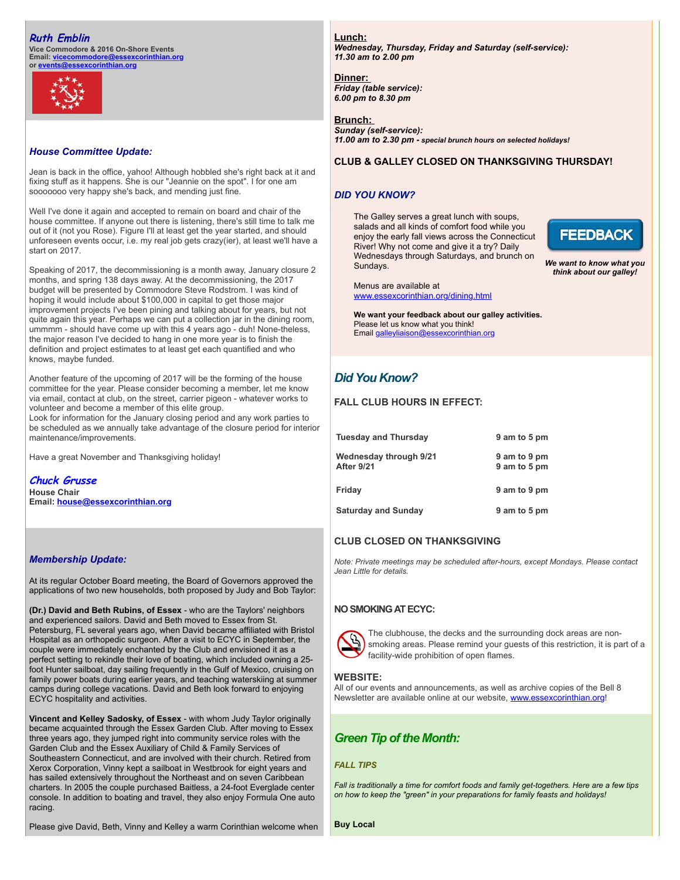# **Ruth Emblin**

**Vice Commodore & 2016 On-Shore Events Email: [vicecommodore@essexcorinthian.org](mailto:vicecommodore@essexcorinthian.org) or [events@essexcorinthian.org](mailto:events@essexcorinthian.org)**



# *House Committee Update:*

Jean is back in the office, yahoo! Although hobbled she's right back at it and fixing stuff as it happens. She is our "Jeannie on the spot". I for one am sooooooo very happy she's back, and mending just fine.

Well I've done it again and accepted to remain on board and chair of the house committee. If anyone out there is listening, there's still time to talk me out of it (not you Rose). Figure I'll at least get the year started, and should unforeseen events occur, i.e. my real job gets crazy(ier), at least we'll have a start on 2017.

Speaking of 2017, the decommissioning is a month away, January closure 2 months, and spring 138 days away. At the decommissioning, the 2017 budget will be presented by Commodore Steve Rodstrom. I was kind of hoping it would include about \$100,000 in capital to get those major improvement projects I've been pining and talking about for years, but not quite again this year. Perhaps we can put a collection jar in the dining room, ummmm - should have come up with this 4 years ago - duh! None-theless, the major reason I've decided to hang in one more year is to finish the definition and project estimates to at least get each quantified and who knows, maybe funded.

Another feature of the upcoming of 2017 will be the forming of the house committee for the year. Please consider becoming a member, let me know via email, contact at club, on the street, carrier pigeon - whatever works to volunteer and become a member of this elite group.

Look for information for the January closing period and any work parties to be scheduled as we annually take advantage of the closure period for interior maintenance/improvements.

Have a great November and Thanksgiving holiday!

**Chuck Grusse House Chair Email: [house@essexcorinthian.org](mailto:house@essexcorinthian.org)**

### *Membership Update:*

At its regular October Board meeting, the Board of Governors approved the applications of two new households, both proposed by Judy and Bob Taylor:

**(Dr.) David and Beth Rubins, of Essex** - who are the Taylors' neighbors and experienced sailors. David and Beth moved to Essex from St. Petersburg, FL several years ago, when David became affiliated with Bristol Hospital as an orthopedic surgeon. After a visit to ECYC in September, the couple were immediately enchanted by the Club and envisioned it as a perfect setting to rekindle their love of boating, which included owning a 25 foot Hunter sailboat, day sailing frequently in the Gulf of Mexico, cruising on family power boats during earlier years, and teaching waterskiing at summer camps during college vacations. David and Beth look forward to enjoying ECYC hospitality and activities.

**Vincent and Kelley Sadosky, of Essex** - with whom Judy Taylor originally became acquainted through the Essex Garden Club. After moving to Essex three years ago, they jumped right into community service roles with the Garden Club and the Essex Auxiliary of Child & Family Services of Southeastern Connecticut, and are involved with their church. Retired from Xerox Corporation, Vinny kept a sailboat in Westbrook for eight years and has sailed extensively throughout the Northeast and on seven Caribbean charters. In 2005 the couple purchased Baitless, a 24-foot Everglade center console. In addition to boating and travel, they also enjoy Formula One auto racing.

Please give David, Beth, Vinny and Kelley a warm Corinthian welcome when

**Lunch:** *Wednesday, Thursday, Friday and Saturday (self-service): 11.30 am to 2.00 pm* 

**Dinner:**  *Friday (table service): 6.00 pm to 8.30 pm*

#### **Brunch:**  *Sunday (self-service):*

*11.00 am to 2.30 pm - special brunch hours on selected holidays!*

### **CLUB & GALLEY CLOSED ON THANKSGIVING THURSDAY!**

### *DID YOU KNOW?*

The Galley serves a great lunch with soups, salads and all kinds of comfort food while you enjoy the early fall views across the Connecticut River! Why not come and give it a try? Daily Wednesdays through Saturdays, and brunch on Sundays.



*We want to know what you think about our galley!*

Menus are available at [www.essexcorinthian.org/dining.html](http://r20.rs6.net/tn.jsp?t=ks8vy5yab.0.0.sxskahdab.0&id=preview&r=3&p=http%3A%2F%2Fwww.essexcorinthian.org%2Fdining.html)

**We want your feedback about our galley activities.** Please let us know what you think! Email [galleyliaison@essexcorinthian.org](mailto:galleyliaison@essexcorinthian.org)

# *Did You Know?*

# **FALL CLUB HOURS IN EFFECT:**

| <b>Tuesday and Thursday</b>          | 9 am to 5 pm                 |  |
|--------------------------------------|------------------------------|--|
| Wednesday through 9/21<br>After 9/21 | 9 am to 9 pm<br>9 am to 5 pm |  |
| Friday                               | 9 am to 9 pm                 |  |
| <b>Saturday and Sunday</b>           | 9 am to 5 pm                 |  |

# **CLUB CLOSED ON THANKSGIVING**

*Note: Private meetings may be scheduled after-hours, except Mondays. Please contact Jean Little for details.*

### **NO SMOKING AT ECYC:**



The clubhouse, the decks and the surrounding dock areas are nonsmoking areas. Please remind your guests of this restriction, it is part of a facility-wide prohibition of open flames.

### **WEBSITE:**

All of our events and announcements, as well as archive copies of the Bell 8 Newsletter are available online at our website, [www.essexcorinthian.org!](http://r20.rs6.net/tn.jsp?t=ks8vy5yab.0.0.sxskahdab.0&id=preview&r=3&p=http%3A%2F%2Fwww.essexcorinthian.org%21)

# *Green Tip of the Month:*

### *FALL TIPS*

*Fall is traditionally a time for comfort foods and family get-togethers. Here are a few tips on how to keep the "green" in your preparations for family feasts and holidays!*

**Buy Local**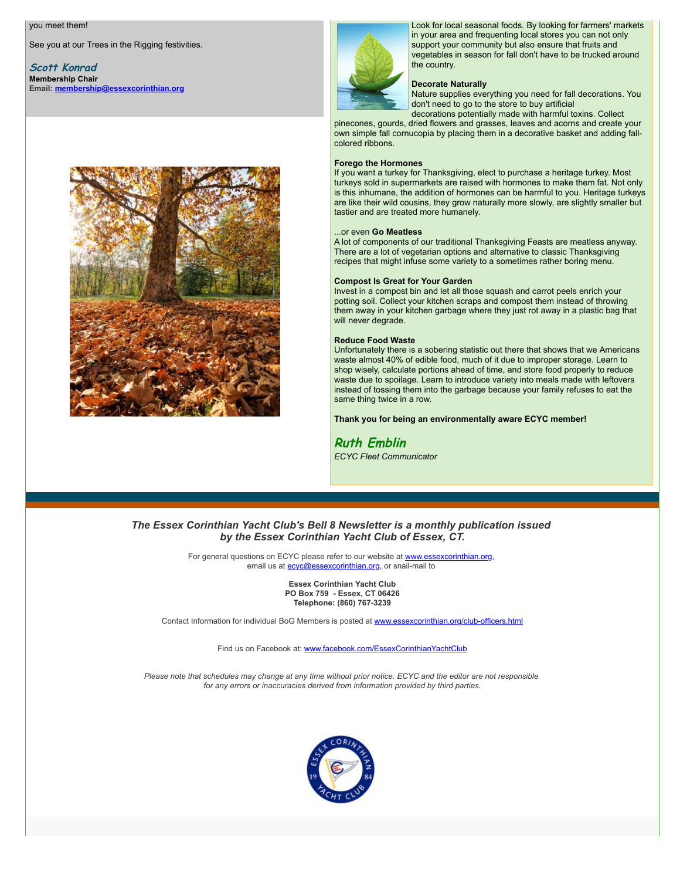#### you meet them!

See you at our Trees in the Rigging festivities.

**Scott Konrad Membership Chair Email: [membership@essexcorinthian.org](mailto:membership@essexcorinthian.org)**





Look for local seasonal foods. By looking for farmers' markets in your area and frequenting local stores you can not only support your community but also ensure that fruits and vegetables in season for fall don't have to be trucked around the country.

#### **Decorate Naturally**

Nature supplies everything you need for fall decorations. You don't need to go to the store to buy artificial

decorations potentially made with harmful toxins. Collect pinecones, gourds, dried flowers and grasses, leaves and acorns and create your own simple fall cornucopia by placing them in a decorative basket and adding fallcolored ribbons.

#### **Forego the Hormones**

If you want a turkey for Thanksgiving, elect to purchase a heritage turkey. Most turkeys sold in supermarkets are raised with hormones to make them fat. Not only is this inhumane, the addition of hormones can be harmful to you. Heritage turkeys are like their wild cousins, they grow naturally more slowly, are slightly smaller but tastier and are treated more humanely.

#### ...or even **Go Meatless**

A lot of components of our traditional Thanksgiving Feasts are meatless anyway. There are a lot of vegetarian options and alternative to classic Thanksgiving recipes that might infuse some variety to a sometimes rather boring menu.

#### **Compost Is Great for Your Garden**

Invest in a compost bin and let all those squash and carrot peels enrich your potting soil. Collect your kitchen scraps and compost them instead of throwing them away in your kitchen garbage where they just rot away in a plastic bag that will never degrade.

#### **Reduce Food Waste**

Unfortunately there is a sobering statistic out there that shows that we Americans waste almost 40% of edible food, much of it due to improper storage. Learn to shop wisely, calculate portions ahead of time, and store food properly to reduce waste due to spoilage. Learn to introduce variety into meals made with leftovers instead of tossing them into the garbage because your family refuses to eat the same thing twice in a row.

**Thank you for being an environmentally aware ECYC member!**

# **Ruth Emblin**

*ECYC Fleet Communicator*

# *The Essex Corinthian Yacht Club's Bell 8 Newsletter is a monthly publication issued by the Essex Corinthian Yacht Club of Essex, CT.*

For general questions on ECYC please refer to our website at **www.essexcorinthian.org**, email us at [ecyc@essexcorinthian.org](mailto:ecyc@essexcorinthian.org), or snail-mail to

> **Essex Corinthian Yacht Club PO Box 759 - Essex, CT 06426 Telephone: (860) 767-3239**

Contact Information for individual BoG Members is posted at [www.essexcorinthian.org/club-officers.html](http://r20.rs6.net/tn.jsp?t=ks8vy5yab.0.0.sxskahdab.0&id=preview&r=3&p=http%3A%2F%2Fwww.essexcorinthian.org%2Fclub-officers.html)

Find us on Facebook at: [www.facebook.com/EssexCorinthianYachtClub](http://r20.rs6.net/tn.jsp?t=ks8vy5yab.0.0.sxskahdab.0&id=preview&r=3&p=http%3A%2F%2Fwww.facebook.com%2FEssexCorinthianYachtClub)

*Please note that schedules may change at any time without prior notice. ECYC and the editor are not responsible for any errors or inaccuracies derived from information provided by third parties.*